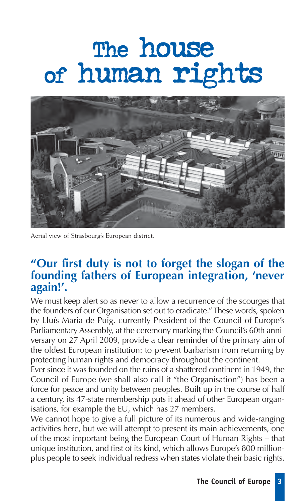# The house of human rights



Aerial view of Strasbourg's European district.

## **"Our first duty is not to forget the slogan of the founding fathers of European integration, 'never again!'.**

We must keep alert so as never to allow a recurrence of the scourges that the founders of our Organisation set out to eradicate." These words, spoken by Lluís Maria de Puig, currently President of the Council of Europe's Parliamentary Assembly, at the ceremony marking the Council's 60th anniversary on 27 April 2009, provide a clear reminder of the primary aim of the oldest European institution: to prevent barbarism from returning by protecting human rights and democracy throughout the continent.

Ever since it was founded on the ruins of a shattered continent in 1949, the Council of Europe (we shall also call it "the Organisation") has been a force for peace and unity between peoples. Built up in the course of half a century, its 47-state membership puts it ahead of other European organisations, for example the EU, which has 27 members.

We cannot hope to give a full picture of its numerous and wide-ranging activities here, but we will attempt to present its main achievements, one of the most important being the European Court of Human Rights – that unique institution, and first of its kind, which allows Europe's 800 millionplus people to seek individual redress when states violate their basic rights.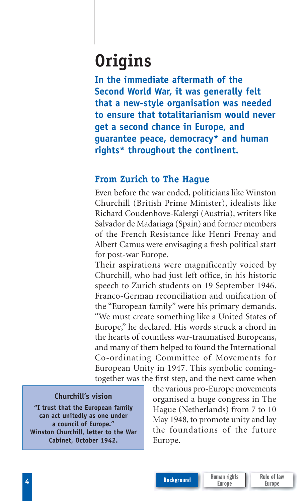# **Origins**

**In the immediate aftermath of the Second World War, it was generally felt that a new-style organisation was needed to ensure that totalitarianism would never get a second chance in Europe, and guarantee peace, democracy\* and human rights\* throughout the continent.**

### **From Zurich to The Hague**

Even before the war ended, politicians like Winston Churchill (British Prime Minister), idealists like Richard Coudenhove-Kalergi (Austria), writers like Salvador de Madariaga (Spain) and former members of the French Resistance like Henri Frenay and Albert Camus were envisaging a fresh political start for post-war Europe.

Their aspirations were magnificently voiced by Churchill, who had just left office, in his historic speech to Zurich students on 19 September 1946. Franco-German reconciliation and unification of the "European family" were his primary demands. "We must create something like a United States of Europe," he declared. His words struck a chord in the hearts of countless war-traumatised Europeans, and many of them helped to found the International Co-ordinating Committee of Movements for European Unity in 1947. This symbolic comingtogether was the first step, and the next came when

#### **Churchill's vision**

**"I trust that the European family can act unitedly as one under a council of Europe." Winston Churchill, letter to the War Cabinet, October 1942.**

the various pro-Europe movements organised a huge congress in The Hague (Netherlands) from 7 to 10 May 1948, to promote unity and lay the foundations of the future Europe.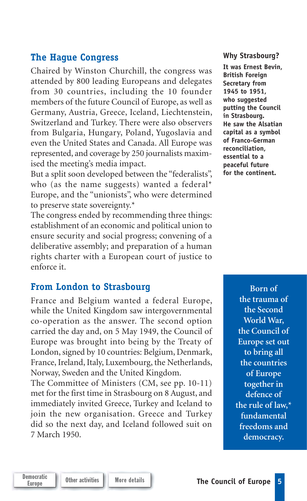#### **The Hague Congress**

Chaired by Winston Churchill, the congress was attended by 800 leading Europeans and delegates from 30 countries, including the 10 founder members of the future Council of Europe, as well as Germany, Austria, Greece, Iceland, Liechtenstein, Switzerland and Turkey. There were also observers from Bulgaria, Hungary, Poland, Yugoslavia and even the United States and Canada. All Europe was represented, and coverage by 250 journalists maximised the meeting's media impact.

But a split soon developed between the "federalists", who (as the name suggests) wanted a federal\* Europe, and the "unionists", who were determined to preserve state sovereignty.\*

The congress ended by recommending three things: establishment of an economic and political union to ensure security and social progress; convening of a deliberative assembly; and preparation of a human rights charter with a European court of justice to enforce it.

#### **From London to Strasbourg**

France and Belgium wanted a federal Europe, while the United Kingdom saw intergovernmental co- operation as the answer. The second option carried the day and, on 5 May 1949, the Council of Europe was brought into being by the Treaty of London, signed by 10 countries: Belgium, Denmark, France, Ireland, Italy, Luxembourg, the Netherlands, Norway, Sweden and the United Kingdom.

The Committee of Ministers (CM, see pp. 10-11) met for the first time in Strasbourg on 8 August, and immediately invited Greece, Turkey and Iceland to join the new organisation. Greece and Turkey did so the next day, and Iceland followed suit on 7 March 1950.

#### **Why Strasbourg?**

**It was Ernest Bevin, British Foreign Secretary from 1945 to 1951, who suggested putting the Council in Strasbourg. He saw the Alsatian capital as a symbol of Franco-German reconciliation, essential to a peaceful future for the continent.**

> **Born of the trauma of the Second World War, the Council of Europe set out to bring all the countries of Europe together in defence of the rule of law,\* fundamental freedoms and democracy.**

Democratic<br>Europe

**Other activities More details Council of Europe 5**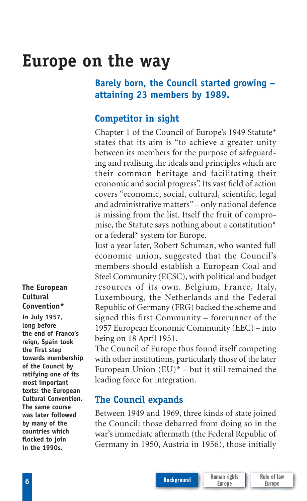# **Europe on the way**

### **Barely born, the Council started growing – attaining 23 members by 1989.**

### **Competitor in sight**

Chapter 1 of the Council of Europe's 1949 Statute\* states that its aim is "to achieve a greater unity between its members for the purpose of safeguarding and realising the ideals and principles which are their common heritage and facilitating their economic and social progress". Its vast field of action covers "economic, social, cultural, scientific, legal and administrative matters" – only national defence is missing from the list. Itself the fruit of compromise, the Statute says nothing about a constitution\* or a federal\* system for Europe.

Just a year later, Robert Schuman, who wanted full economic union, suggested that the Council's members should establish a European Coal and Steel Community (ECSC), with political and budget resources of its own. Belgium, France, Italy, Luxembourg, the Netherlands and the Federal Republic of Germany (FRG) backed the scheme and signed this first Community – forerunner of the 1957 European Economic Community (EEC) – into being on 18 April 1951.

The Council of Europe thus found itself competing with other institutions, particularly those of the later European Union  $(EU)^*$  – but it still remained the leading force for integration.

#### **The Council expands**

Between 1949 and 1969, three kinds of state joined the Council: those debarred from doing so in the war's immediate aftermath (the Federal Republic of Germany in 1950, Austria in 1956), those initially

**The European Cultural Convention\* In July 1957, long before the end of Franco's reign, Spain took the first step towards membership of the Council by ratifying one of its most important texts: the European Cultural Convention. The same course was later followed by many of the countries which flocked to join in the 1990s.**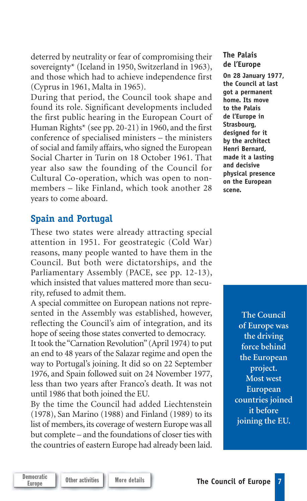deterred by neutrality or fear of compromising their sovereignty\* (Iceland in 1950, Switzerland in 1963), and those which had to achieve independence first (Cyprus in 1961, Malta in 1965).

During that period, the Council took shape and found its role. Significant developments included the first public hearing in the European Court of Human Rights\* (see pp. 20-21) in 1960, and the first conference of specialised ministers – the ministers of social and family affairs, who signed the European Social Charter in Turin on 18 October 1961. That year also saw the founding of the Council for Cultural Co-operation, which was open to nonmembers – like Finland, which took another 28 years to come aboard.

#### **Spain and Portugal**

These two states were already attracting special attention in 1951. For geostrategic (Cold War) reasons, many people wanted to have them in the Council. But both were dictatorships, and the Parliamentary Assembly (PACE, see pp. 12-13), which insisted that values mattered more than security, refused to admit them.

A special committee on European nations not represented in the Assembly was established, however, reflecting the Council's aim of integration, and its hope of seeing those states converted to democracy.

It took the "Carnation Revolution" (April 1974) to put an end to 48 years of the Salazar regime and open the way to Portugal's joining. It did so on 22 September 1976, and Spain followed suit on 24 November 1977, less than two years after Franco's death. It was not until 1986 that both joined the EU.

By the time the Council had added Liechtenstein (1978), San Marino (1988) and Finland (1989) to its list of members, its coverage of western Europe was all but complete – and the foundations of closer ties with the countries of eastern Europe had already been laid.

#### **The Palais de l'Europe**

**On 28 January 1977, the Council at last got a permanent home. Its move to the Palais de l'Europe in Strasbourg, designed for it by the architect Henri Bernard, made it a lasting and decisive physical presence on the European scene.**

> **The Council of Europe was the driving force behind the European project. Most west European countries joined it before joining the EU.**

Democratic<br>Europe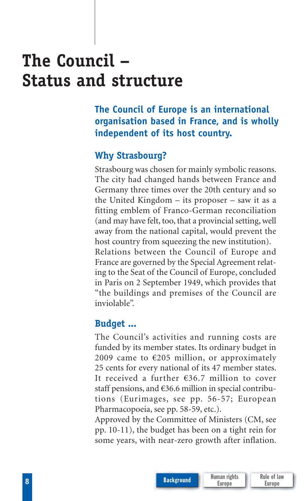# **The Council – Status and structure**

**The Council of Europe is an international organisation based in France, and is wholly independent of its host country.**

#### **Why Strasbourg?**

Strasbourg was chosen for mainly symbolic reasons. The city had changed hands between France and Germany three times over the 20th century and so the United Kingdom – its proposer – saw it as a fitting emblem of Franco-German reconciliation (and may have felt, too, that a provincial setting, well away from the national capital, would prevent the host country from squeezing the new institution). Relations between the Council of Europe and France are governed by the Special Agreement relating to the Seat of the Council of Europe, concluded in Paris on 2 September 1949, which provides that "the buildings and premises of the Council are inviolable".

#### **Budget ...**

The Council's activities and running costs are funded by its member states. Its ordinary budget in 2009 came to  $\epsilon$ 205 million, or approximately 25 cents for every national of its 47 member states. It received a further €36.7 million to cover staff pensions, and €36.6 million in special contributions (Eurimages, see pp. 56-57; European Pharmacopoeia, see pp. 58-59, etc.).

Approved by the Committee of Ministers (CM, see pp. 10-11), the budget has been on a tight rein for some years, with near-zero growth after inflation.